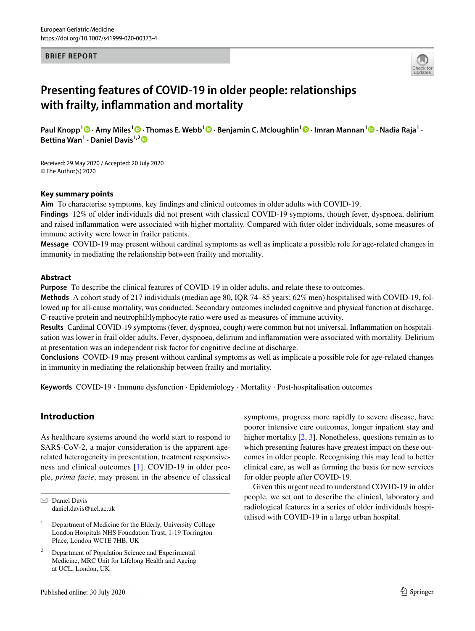#### **BRIEF REPORT**



# **Presenting features of COVID‑19 in older people: relationships with frailty, infammation and mortality**

**Paul Knopp<sup>1</sup> · Amy Miles<sup>1</sup>  [·](http://orcid.org/0000-0002-9008-4599) Thomas E. Webb1 · Benjamin C. Mcloughlin1  [·](http://orcid.org/0000-0002-8691-0675) Imran Mannan1  [·](http://orcid.org/0000-0001-5019-5027) Nadia Raja1 · Bettina Wan1 · Daniel Davis1,[2](http://orcid.org/0000-0002-1560-1955)**

Received: 29 May 2020 / Accepted: 20 July 2020 © The Author(s) 2020

#### **Key summary points**

**Aim** To characterise symptoms, key fndings and clinical outcomes in older adults with COVID-19.

**Findings** 12% of older individuals did not present with classical COVID-19 symptoms, though fever, dyspnoea, delirium and raised infammation were associated with higher mortality. Compared with ftter older individuals, some measures of immune activity were lower in frailer patients.

**Message** COVID-19 may present without cardinal symptoms as well as implicate a possible role for age-related changes in immunity in mediating the relationship between frailty and mortality.

#### **Abstract**

**Purpose** To describe the clinical features of COVID-19 in older adults, and relate these to outcomes.

**Methods** A cohort study of 217 individuals (median age 80, IQR 74–85 years; 62% men) hospitalised with COVID-19, followed up for all-cause mortality, was conducted. Secondary outcomes included cognitive and physical function at discharge. C-reactive protein and neutrophil:lymphocyte ratio were used as measures of immune activity.

**Results** Cardinal COVID-19 symptoms (fever, dyspnoea, cough) were common but not universal. Infammation on hospitalisation was lower in frail older adults. Fever, dyspnoea, delirium and infammation were associated with mortality. Delirium at presentation was an independent risk factor for cognitive decline at discharge.

**Conclusions** COVID-19 may present without cardinal symptoms as well as implicate a possible role for age-related changes in immunity in mediating the relationship between frailty and mortality.

**Keywords** COVID-19 · Immune dysfunction · Epidemiology · Mortality · Post-hospitalisation outcomes

#### **Introduction**

As healthcare systems around the world start to respond to SARS-CoV-2, a major consideration is the apparent agerelated heterogeneity in presentation, treatment responsiveness and clinical outcomes [[1](#page-4-0)]. COVID-19 in older people, *prima facie*, may present in the absence of classical

Published online: 30 July 2020

symptoms, progress more rapidly to severe disease, have poorer intensive care outcomes, longer inpatient stay and higher mortality [\[2,](#page-4-1) [3](#page-4-2)]. Nonetheless, questions remain as to which presenting features have greatest impact on these outcomes in older people. Recognising this may lead to better clinical care, as well as forming the basis for new services for older people after COVID-19.

Given this urgent need to understand COVID-19 in older people, we set out to describe the clinical, laboratory and radiological features in a series of older individuals hospitalised with COVID-19 in a large urban hospital.

 $\boxtimes$  Daniel Davis daniel.davis@ucl.ac.uk

<sup>&</sup>lt;sup>1</sup> Department of Medicine for the Elderly, University College London Hospitals NHS Foundation Trust, 1-19 Torrington Place, London WC1E 7HB, UK

Department of Population Science and Experimental Medicine, MRC Unit for Lifelong Health and Ageing at UCL, London, UK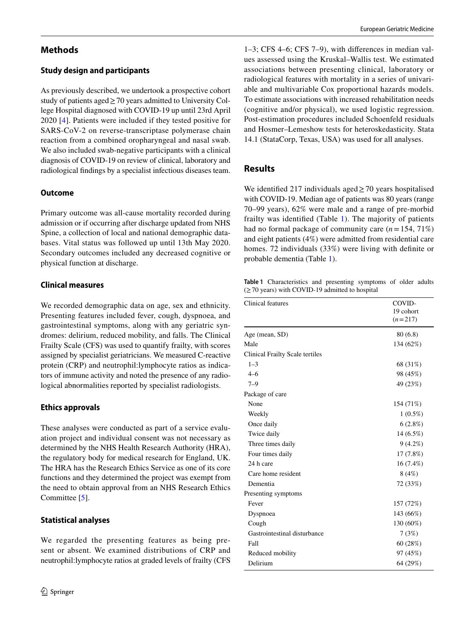# **Methods**

## **Study design and participants**

As previously described, we undertook a prospective cohort study of patients aged $\geq$  70 years admitted to University College Hospital diagnosed with COVID-19 up until 23rd April 2020 [[4\]](#page-4-3). Patients were included if they tested positive for SARS-CoV-2 on reverse-transcriptase polymerase chain reaction from a combined oropharyngeal and nasal swab. We also included swab-negative participants with a clinical diagnosis of COVID-19 on review of clinical, laboratory and radiological fndings by a specialist infectious diseases team.

## **Outcome**

Primary outcome was all-cause mortality recorded during admission or if occurring after discharge updated from NHS Spine, a collection of local and national demographic databases. Vital status was followed up until 13th May 2020. Secondary outcomes included any decreased cognitive or physical function at discharge.

## **Clinical measures**

We recorded demographic data on age, sex and ethnicity. Presenting features included fever, cough, dyspnoea, and gastrointestinal symptoms, along with any geriatric syndromes: delirium, reduced mobility, and falls. The Clinical Frailty Scale (CFS) was used to quantify frailty, with scores assigned by specialist geriatricians. We measured C-reactive protein (CRP) and neutrophil:lymphocyte ratios as indicators of immune activity and noted the presence of any radiological abnormalities reported by specialist radiologists.

## **Ethics approvals**

These analyses were conducted as part of a service evaluation project and individual consent was not necessary as determined by the NHS Health Research Authority (HRA), the regulatory body for medical research for England, UK. The HRA has the Research Ethics Service as one of its core functions and they determined the project was exempt from the need to obtain approval from an NHS Research Ethics Committee [[5\]](#page-4-4).

#### **Statistical analyses**

We regarded the presenting features as being present or absent. We examined distributions of CRP and neutrophil:lymphocyte ratios at graded levels of frailty (CFS

1–3; CFS 4–6; CFS 7–9), with diferences in median values assessed using the Kruskal–Wallis test. We estimated associations between presenting clinical, laboratory or radiological features with mortality in a series of univariable and multivariable Cox proportional hazards models. To estimate associations with increased rehabilitation needs (cognitive and/or physical), we used logistic regression. Post-estimation procedures included Schoenfeld residuals and Hosmer–Lemeshow tests for heteroskedasticity. Stata 14.1 (StataCorp, Texas, USA) was used for all analyses.

# **Results**

We identified 217 individuals aged  $\geq$  70 years hospitalised with COVID-19. Median age of patients was 80 years (range 70–99 years), 62% were male and a range of pre-morbid frailty was identifed (Table [1](#page-1-0)). The majority of patients had no formal package of community care (*n*=154, 71%) and eight patients (4%) were admitted from residential care homes. 72 individuals (33%) were living with defnite or probable dementia (Table [1\)](#page-1-0).

<span id="page-1-0"></span>**Table 1** Characteristics and presenting symptoms of older adults  $(\geq 70 \text{ years})$  with COVID-19 admitted to hospital

| Clinical features               | COVID-<br>19 cohort<br>$(n=217)$ |  |
|---------------------------------|----------------------------------|--|
| Age (mean, SD)                  | 80(6.8)                          |  |
| Male                            | 134 (62%)                        |  |
| Clinical Frailty Scale tertiles |                                  |  |
| $1 - 3$                         | 68 (31%)                         |  |
| $4 - 6$                         | 98 (45%)                         |  |
| $7 - 9$                         | 49 (23%)                         |  |
| Package of care                 |                                  |  |
| None                            | 154 (71%)                        |  |
| Weekly                          | $1(0.5\%)$                       |  |
| Once daily                      | 6(2.8%)                          |  |
| Twice daily                     | $14(6.5\%)$                      |  |
| Three times daily               | $9(4.2\%)$                       |  |
| Four times daily                | 17(7.8%)                         |  |
| 24 h care                       | $16(7.4\%)$                      |  |
| Care home resident              | 8(4%)                            |  |
| Dementia                        | 72 (33%)                         |  |
| Presenting symptoms             |                                  |  |
| Fever                           | 157 (72%)                        |  |
| Dyspnoea                        | 143 (66%)                        |  |
| Cough                           | 130 (60%)                        |  |
| Gastrointestinal disturbance    | 7(3%)                            |  |
| Fall                            | 60(28%)                          |  |
| Reduced mobility                | 97 (45%)                         |  |
| Delirium                        | 64 (29%)                         |  |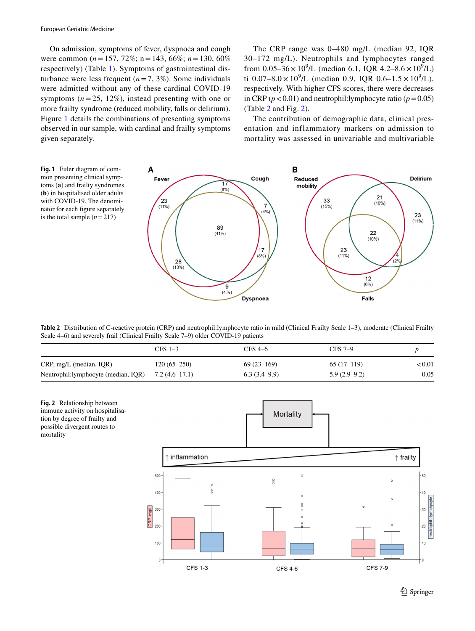On admission, symptoms of fever, dyspnoea and cough were common (*n*=157, 72%; n=143, 66%; *n*=130, 60% respectively) (Table [1](#page-1-0)). Symptoms of gastrointestinal disturbance were less frequent  $(n=7, 3\%)$ . Some individuals were admitted without any of these cardinal COVID-19 symptoms  $(n=25, 12\%)$ , instead presenting with one or more frailty syndrome (reduced mobility, falls or delirium). Figure [1](#page-2-0) details the combinations of presenting symptoms observed in our sample, with cardinal and frailty symptoms given separately.

The CRP range was 0–480 mg/L (median 92, IQR 30–172 mg/L). Neutrophils and lymphocytes ranged from  $0.05-36 \times 10^9$ /L (median 6.1, IQR 4.2-8.6  $\times 10^9$ /L) ti  $0.07-8.0 \times 10^9$ /L (median 0.9, IQR 0.6-1.5  $\times 10^9$ /L), respectively. With higher CFS scores, there were decreases in CRP ( $p < 0.01$ ) and neutrophil:lymphocyte ratio ( $p = 0.05$ ) (Table [2](#page-2-1) and Fig. [2\)](#page-2-2).

The contribution of demographic data, clinical presentation and inflammatory markers on admission to mortality was assessed in univariable and multivariable

<span id="page-2-0"></span>

<span id="page-2-1"></span>**Table 2** Distribution of C-reactive protein (CRP) and neutrophil:lymphocyte ratio in mild (Clinical Frailty Scale 1–3), moderate (Clinical Frailty Scale 4–6) and severely frail (Clinical Frailty Scale 7–9) older COVID-19 patients

|                                      | $CFS$ 1-3       | CFS 4–6        | $CFS$ 7-9      |           |
|--------------------------------------|-----------------|----------------|----------------|-----------|
| $CRP$ , mg/L (median, IQR)           | $120(65-250)$   | $69(23-169)$   | $65(17-119)$   | ${<}0.01$ |
| Neutrophil: lymphocyte (median, IQR) | $7.2(4.6-17.1)$ | $6.3(3.4-9.9)$ | $5.9(2.9-9.2)$ | 0.05      |

<span id="page-2-2"></span>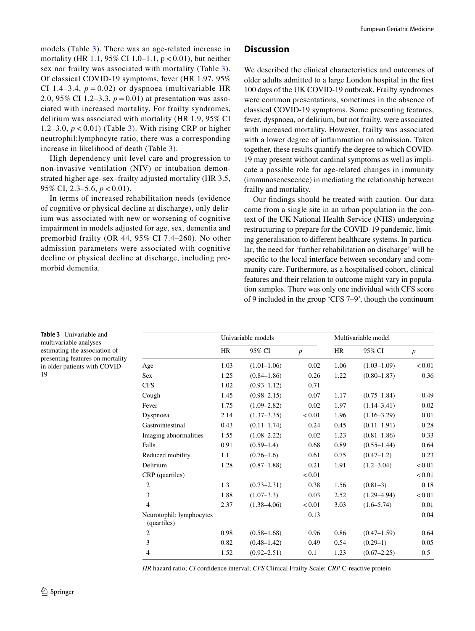models (Table [3](#page-3-0)). There was an age-related increase in mortality (HR 1.1, 95% CI 1.0–1.1,  $p < 0.01$ ), but neither sex nor frailty was associated with mortality (Table [3](#page-3-0)). Of classical COVID-19 symptoms, fever (HR 1.97, 95% CI 1.4–3.4,  $p = 0.02$ ) or dyspnoea (multivariable HR 2.0, 95% CI 1.2–3.3, *p* = 0.01) at presentation was associated with increased mortality. For frailty syndromes, delirium was associated with mortality (HR 1.9, 95% CI 1.2–3.0, *p* < 0.01) (Table [3\)](#page-3-0). With rising CRP or higher neutrophil:lymphocyte ratio, there was a corresponding increase in likelihood of death (Table [3](#page-3-0)).

High dependency unit level care and progression to non-invasive ventilation (NIV) or intubation demonstrated higher age–sex–frailty adjusted mortality (HR 3.5, 95% CI, 2.3–5.6, *p* < 0.01).

In terms of increased rehabilitation needs (evidence of cognitive or physical decline at discharge), only delirium was associated with new or worsening of cognitive impairment in models adjusted for age, sex, dementia and premorbid frailty (OR 44, 95% CI 7.4–260). No other admission parameters were associated with cognitive decline or physical decline at discharge, including premorbid dementia.

## **Discussion**

We described the clinical characteristics and outcomes of older adults admitted to a large London hospital in the frst 100 days of the UK COVID-19 outbreak. Frailty syndromes were common presentations, sometimes in the absence of classical COVID-19 symptoms. Some presenting features, fever, dyspnoea, or delirium, but not frailty, were associated with increased mortality. However, frailty was associated with a lower degree of infammation on admission. Taken together, these results quantify the degree to which COVID-19 may present without cardinal symptoms as well as implicate a possible role for age-related changes in immunity (immunosenescence) in mediating the relationship between frailty and mortality.

Our fndings should be treated with caution. Our data come from a single site in an urban population in the context of the UK National Health Service (NHS) undergoing restructuring to prepare for the COVID-19 pandemic, limiting generalisation to diferent healthcare systems. In particular, the need for 'further rehabilitation on discharge' will be specifc to the local interface between secondary and community care. Furthermore, as a hospitalised cohort, clinical features and their relation to outcome might vary in population samples. There was only one individual with CFS score of 9 included in the group 'CFS 7–9', though the continuum

Univariable models Multivariable model HR 95% CI *p* HR 95% CI *p* Age 1.03  $(1.01-1.06)$  0.02 1.06  $(1.03-1.09)$  <0.01 Sex 1.25 (0.84–1.86) 0.26 1.22 (0.80–1.87) 0.36 CFS 1.02 (0.93–1.12) 0.71 Cough 1.45 (0.98–2.15) 0.07 1.17 (0.75–1.84) 0.49 Fever 1.75 (1.09–2.82) 0.02 1.97 (1.14–3.41) 0.02 Dyspnoea 2.14 (1.37–3.35) <0.01 1.96 (1.16–3.29) 0.01 Gastrointestinal 0.43 (0.11–1.74) 0.24 0.45 (0.11–1.91) 0.28 Imaging abnormalities 1.55 (1.08–2.22) 0.02 1.23 (0.81–1.86) 0.33 Falls 0.91 (0.59–1.4) 0.68 0.89 (0.55–1.44) 0.64 Reduced mobility 1.1 (0.76–1.6) 0.61 0.75 (0.47–1.2) 0.23 Delirium 1.28 (0.87–1.88) 0.21 1.91 (1.2–3.04) <0.01  $CRP$  (quartiles)  $< 0.01$   $< 0.01$  2 1.3 (0.73–2.31) 0.38 1.56 (0.81–3) 0.18 3 1.88 (1.07–3.3) 0.03 2.52 (1.29–4.94) <0.01 4 2.37 (1.38–4.06) <0.01 3.03 (1.6–5.74) 0.01 Neurotophil: lymphocytes (quartiles) 0.13 0.04 2 0.98 (0.58–1.68) 0.96 0.86 (0.47–1.59) 0.64 3 0.82 (0.48–1.42) 0.49 0.54 (0.29–1) 0.05 4 1.52 (0.92–2.51) 0.1 1.23 (0.67–2.25) 0.5

*HR* hazard ratio; *CI* confdence interval; *CFS* Clinical Frailty Scale; *CRP* C-reactive protein

<span id="page-3-0"></span>**Table 3** Univariable and multivariable analyses estimating the association of presenting features on mortality in older patients with COVID-19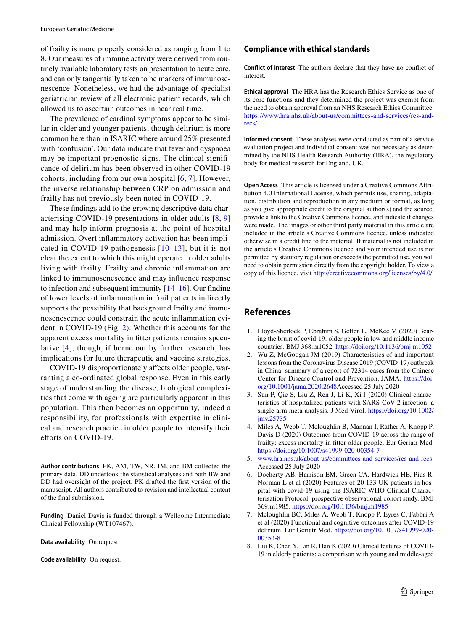of frailty is more properly considered as ranging from 1 to 8. Our measures of immune activity were derived from routinely available laboratory tests on presentation to acute care, and can only tangentially taken to be markers of immunosenescence. Nonetheless, we had the advantage of specialist geriatrician review of all electronic patient records, which allowed us to ascertain outcomes in near real time.

The prevalence of cardinal symptoms appear to be similar in older and younger patients, though delirium is more common here than in ISARIC where around 25% presented with 'confusion'. Our data indicate that fever and dyspnoea may be important prognostic signs. The clinical signifcance of delirium has been observed in other COVID-19 cohorts, including from our own hospital  $[6, 7]$  $[6, 7]$  $[6, 7]$  $[6, 7]$  $[6, 7]$ . However, the inverse relationship between CRP on admission and frailty has not previously been noted in COVID-19.

These fndings add to the growing descriptive data characterising COVID-19 presentations in older adults [[8,](#page-4-7) [9\]](#page-5-0) and may help inform prognosis at the point of hospital admission. Overt infammatory activation has been implicated in COVID-19 pathogenesis [[10–](#page-5-1)[13\]](#page-5-2), but it is not clear the extent to which this might operate in older adults living with frailty. Frailty and chronic infammation are linked to immunosenescence and may infuence response to infection and subsequent immunity  $[14–16]$  $[14–16]$  $[14–16]$  $[14–16]$ . Our finding of lower levels of infammation in frail patients indirectly supports the possibility that background frailty and immunosenescence could constrain the acute infammation evident in COVID-19 (Fig. [2](#page-2-2)). Whether this accounts for the apparent excess mortality in ftter patients remains speculative [[4](#page-4-3)], though, if borne out by further research, has implications for future therapeutic and vaccine strategies.

COVID-19 disproportionately afects older people, warranting a co-ordinated global response. Even in this early stage of understanding the disease, biological complexities that come with ageing are particularly apparent in this population. This then becomes an opportunity, indeed a responsibility, for professionals with expertise in clinical and research practice in older people to intensify their efforts on COVID-19.

**Author contributions** PK, AM, TW, NR, IM, and BM collected the primary data. DD undertook the statistical analyses and both BW and DD had oversight of the project. PK drafted the frst version of the manuscript. All authors contributed to revision and intellectual content of the fnal submission.

**Funding** Daniel Davis is funded through a Wellcome Intermediate Clinical Fellowship (WT107467).

**Data availability** On request.

**Code availability** On request.

#### **Compliance with ethical standards**

**Conflict of interest** The authors declare that they have no confict of interest.

**Ethical approval** The HRA has the Research Ethics Service as one of its core functions and they determined the project was exempt from the need to obtain approval from an NHS Research Ethics Committee. [https://www.hra.nhs.uk/about-us/committees-and-services/res-and](https://www.hra.nhs.uk/about-us/committees-and-services/res-and-recs/)[recs/](https://www.hra.nhs.uk/about-us/committees-and-services/res-and-recs/).

**Informed consent** These analyses were conducted as part of a service evaluation project and individual consent was not necessary as determined by the NHS Health Research Authority (HRA), the regulatory body for medical research for England, UK.

**Open Access** This article is licensed under a Creative Commons Attribution 4.0 International License, which permits use, sharing, adaptation, distribution and reproduction in any medium or format, as long as you give appropriate credit to the original author(s) and the source, provide a link to the Creative Commons licence, and indicate if changes were made. The images or other third party material in this article are included in the article's Creative Commons licence, unless indicated otherwise in a credit line to the material. If material is not included in the article's Creative Commons licence and your intended use is not permitted by statutory regulation or exceeds the permitted use, you will need to obtain permission directly from the copyright holder. To view a copy of this licence, visit<http://creativecommons.org/licenses/by/4.0/>.

#### **References**

- <span id="page-4-0"></span>1. Lloyd-Sherlock P, Ebrahim S, Gefen L, McKee M (2020) Bearing the brunt of covid-19: older people in low and middle income countries. BMJ 368:m1052.<https://doi.org/10.1136/bmj.m1052>
- <span id="page-4-1"></span>2. Wu Z, McGoogan JM (2019) Characteristics of and important lessons from the Coronavirus Disease 2019 (COVID-19) outbreak in China: summary of a report of 72314 cases from the Chinese Center for Disease Control and Prevention. JAMA. [https://doi.](https://doi.org/10.1001/jama.2020.2648) [org/10.1001/jama.2020.2648A](https://doi.org/10.1001/jama.2020.2648)ccessed 25 July 2020
- <span id="page-4-2"></span>3. Sun P, Qie S, Liu Z, Ren J, Li K, Xi J (2020) Clinical characteristics of hospitalized patients with SARS-CoV-2 infection: a single arm meta-analysis. J Med Virol. [https://doi.org/10.1002/](https://doi.org/10.1002/jmv.25735) [jmv.25735](https://doi.org/10.1002/jmv.25735)
- <span id="page-4-3"></span>4. Miles A, Webb T, Mcloughlin B, Mannan I, Rather A, Knopp P, Davis D (2020) Outcomes from COVID-19 across the range of frailty: excess mortality in ftter older people. Eur Geriatr Med. <https://doi.org/10.1007/s41999-020-00354-7>
- <span id="page-4-4"></span>5. [www.hra.nhs.uk/about-us/committees-and-services/res-and-recs.](http://www.hra.nhs.uk/about-us/committees-and-services/res-and-recs) Accessed 25 July 2020
- <span id="page-4-5"></span>Docherty AB, Harrison EM, Green CA, Hardwick HE, Pius R, Norman L et al (2020) Features of 20 133 UK patients in hospital with covid-19 using the ISARIC WHO Clinical Characterisation Protocol: prospective observational cohort study. BMJ 369:m1985.<https://doi.org/10.1136/bmj.m1985>
- <span id="page-4-6"></span>7. Mcloughlin BC, Miles A, Webb T, Knopp P, Eyres C, Fabbri A et al (2020) Functional and cognitive outcomes after COVID-19 delirium. Eur Geriatr Med. [https://doi.org/10.1007/s41999-020-](https://doi.org/10.1007/s41999-020-00353-8) [00353-8](https://doi.org/10.1007/s41999-020-00353-8)
- <span id="page-4-7"></span>8. Liu K, Chen Y, Lin R, Han K (2020) Clinical features of COVID-19 in elderly patients: a comparison with young and middle-aged